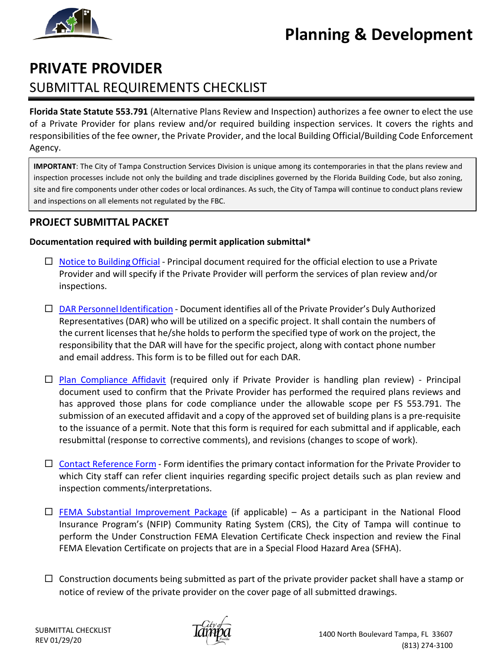# **Planning & Development**



## **PRIVATE PROVIDER** SUBMITTAL REQUIREMENTS CHECKLIST

**Florida State Statute 553.791** (Alternative Plans Review and Inspection) authorizes a fee owner to elect the use of a Private Provider for plans review and/or required building inspection services. It covers the rights and responsibilities of the fee owner, the Private Provider, and the local Building Official/Building Code Enforcement Agency.

**IMPORTANT**: The City of Tampa Construction Services Division is unique among its contemporaries in that the plans review and inspection processes include not only the building and trade disciplines governed by the Florida Building Code, but also zoning, site and fire components under other codes or local ordinances. As such, the City of Tampa will continue to conduct plans review and inspections on all elements not regulated by the FBC.

### **PROJECT SUBMITTAL PACKET**

### **Documentation required with building permit application submittal\***

- $\Box$  Notice to Building Official Principal document required for the official election to use a Private Provider and will specify if the Private Provider will perform the services of plan review and/or inspections.
- [DAR Personnel](https://www.tampagov.net/sites/default/files/duly_authorized_representative_dar_personnel_identification_fillable.pdf) Identification Document identifies all of the Private Provider's Duly Authorized Representatives (DAR) who will be utilized on a specific project. It shall contain the numbers of the current licenses that he/she holds to perform the specified type of work on the project, the responsibility that the DAR will have for the specific project, along with contact phone number and email address. This form is to be filled out for each DAR.
- $\Box$  Plan [Compliance](https://www.tampagov.net/sites/default/files/private_provider_compliance_affidavit_fillable.pdf) Affidavit (required only if Private Provider is handling plan review) Principal document used to confirm that the Private Provider has performed the required plans reviews and has approved those plans for code compliance under the allowable scope per FS 553.791. The submission of an executed affidavit and a copy of the approved set of building plans is a pre-requisite to the issuance of a permit. Note that this form is required for each submittal and if applicable, each resubmittal (response to corrective comments), and revisions (changes to scope of work).
- $\Box$  [Contact Reference Form](https://www.tampagov.net/sites/default/files/draft_-_private_provider_contact_reference_form_1-17-20.pdf) Form identifies the primary contact information for the Private Provider to which City staff can refer client inquiries regarding specific project details such as plan review and inspection comments/interpretations.
- $\Box$  [FEMA Substantial Improvement Package](https://www.tampagov.net/sites/default/files/public%3A/additionalfiles/fema_substantial_improvement_packet.pdf) (if applicable) As a participant in the National Flood Insurance Program's (NFIP) Community Rating System (CRS), the City of Tampa will continue to perform the Under Construction FEMA Elevation Certificate Check inspection and review the Final FEMA Elevation Certificate on projects that are in a Special Flood Hazard Area (SFHA).
- $\Box$  Construction documents being submitted as part of the private provider packet shall have a stamp or notice of review of the private provider on the cover page of all submitted drawings.